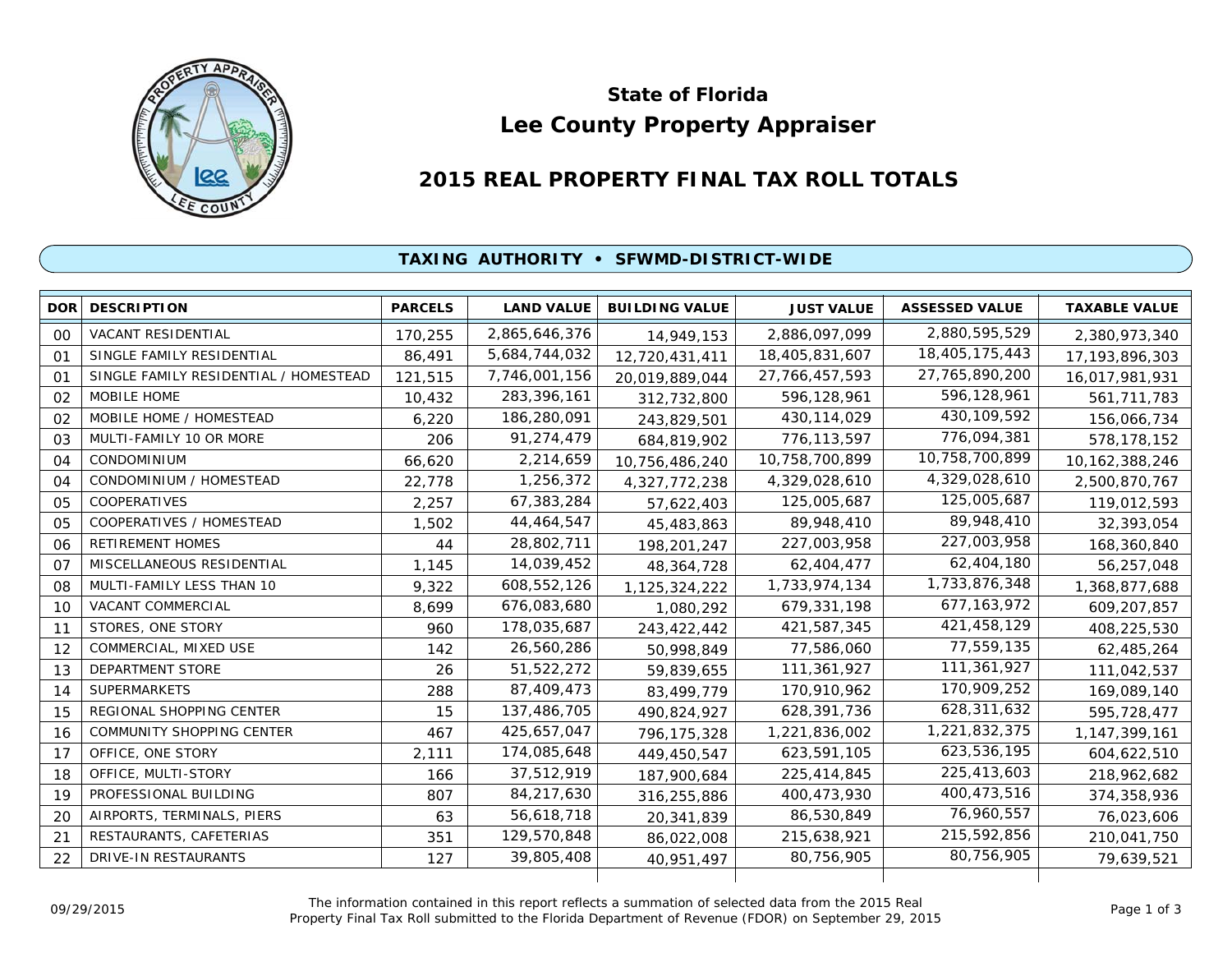

# **Lee County Property Appraiser State of Florida**

# **2015 REAL PROPERTY FINAL TAX ROLL TOTALS**

## **TAXING AUTHORITY • SFWMD-DISTRICT-WIDE**

| <b>DOR</b>     | <b>DESCRIPTION</b>                    | <b>PARCELS</b> | <b>LAND VALUE</b> | <b>BUILDING VALUE</b> | <b>JUST VALUE</b> | <b>ASSESSED VALUE</b> | <b>TAXABLE VALUE</b> |
|----------------|---------------------------------------|----------------|-------------------|-----------------------|-------------------|-----------------------|----------------------|
| 0 <sup>0</sup> | <b>VACANT RESIDENTIAL</b>             | 170,255        | 2,865,646,376     | 14,949,153            | 2,886,097,099     | 2,880,595,529         | 2,380,973,340        |
| $^{\circ}$     | SINGLE FAMILY RESIDENTIAL             | 86,491         | 5,684,744,032     | 12,720,431,411        | 18,405,831,607    | 18,405,175,443        | 17, 193, 896, 303    |
| $^{\circ}$     | SINGLE FAMILY RESIDENTIAL / HOMESTEAD | 121,515        | 7,746,001,156     | 20,019,889,044        | 27, 766, 457, 593 | 27,765,890,200        | 16,017,981,931       |
| 02             | MOBILE HOME                           | 10,432         | 283,396,161       | 312,732,800           | 596,128,961       | 596,128,961           | 561,711,783          |
| 02             | MOBILE HOME / HOMESTEAD               | 6,220          | 186,280,091       | 243,829,501           | 430, 114, 029     | 430, 109, 592         | 156,066,734          |
| 03             | MULTI-FAMILY 10 OR MORE               | 206            | 91,274,479        | 684,819,902           | 776,113,597       | 776,094,381           | 578,178,152          |
| 04             | CONDOMINIUM                           | 66,620         | 2,214,659         | 10,756,486,240        | 10,758,700,899    | 10,758,700,899        | 10,162,388,246       |
| 04             | CONDOMINIUM / HOMESTEAD               | 22,778         | 1,256,372         | 4,327,772,238         | 4,329,028,610     | 4,329,028,610         | 2,500,870,767        |
| 0 <sub>5</sub> | <b>COOPERATIVES</b>                   | 2,257          | 67,383,284        | 57,622,403            | 125,005,687       | 125,005,687           | 119,012,593          |
| 0 <sub>5</sub> | <b>COOPERATIVES / HOMESTEAD</b>       | 1,502          | 44,464,547        | 45,483,863            | 89,948,410        | 89,948,410            | 32,393,054           |
| 06             | RETIREMENT HOMES                      | 44             | 28,802,711        | 198,201,247           | 227,003,958       | 227,003,958           | 168,360,840          |
| 07             | MISCELLANEOUS RESIDENTIAL             | 1,145          | 14,039,452        | 48, 364, 728          | 62,404,477        | 62,404,180            | 56,257,048           |
| 08             | MULTI-FAMILY LESS THAN 10             | 9,322          | 608,552,126       | 1,125,324,222         | 1,733,974,134     | 1,733,876,348         | 1,368,877,688        |
| 10             | <b>VACANT COMMERCIAL</b>              | 8,699          | 676,083,680       | 1,080,292             | 679,331,198       | 677, 163, 972         | 609,207,857          |
| 11             | STORES, ONE STORY                     | 960            | 178,035,687       | 243,422,442           | 421,587,345       | 421,458,129           | 408,225,530          |
| 12             | COMMERCIAL, MIXED USE                 | 142            | 26,560,286        | 50,998,849            | 77,586,060        | 77,559,135            | 62,485,264           |
| 13             | DEPARTMENT STORE                      | 26             | 51,522,272        | 59,839,655            | 111,361,927       | 111,361,927           | 111,042,537          |
| 14             | <b>SUPERMARKETS</b>                   | 288            | 87,409,473        | 83,499,779            | 170,910,962       | 170,909,252           | 169,089,140          |
| 15             | REGIONAL SHOPPING CENTER              | 15             | 137,486,705       | 490,824,927           | 628,391,736       | 628,311,632           | 595,728,477          |
| 16             | <b>COMMUNITY SHOPPING CENTER</b>      | 467            | 425,657,047       | 796, 175, 328         | 1,221,836,002     | 1,221,832,375         | 1, 147, 399, 161     |
| 17             | OFFICE, ONE STORY                     | 2,111          | 174,085,648       | 449,450,547           | 623,591,105       | 623,536,195           | 604,622,510          |
| 18             | OFFICE, MULTI-STORY                   | 166            | 37,512,919        | 187,900,684           | 225,414,845       | 225,413,603           | 218,962,682          |
| 19             | PROFESSIONAL BUILDING                 | 807            | 84,217,630        | 316,255,886           | 400,473,930       | 400,473,516           | 374,358,936          |
| 20             | AIRPORTS, TERMINALS, PIERS            | 63             | 56,618,718        | 20,341,839            | 86,530,849        | 76,960,557            | 76,023,606           |
| 21             | RESTAURANTS, CAFETERIAS               | 351            | 129,570,848       | 86,022,008            | 215,638,921       | 215,592,856           | 210,041,750          |
| 22             | <b>DRIVE-IN RESTAURANTS</b>           | 127            | 39,805,408        | 40,951,497            | 80.756.905        | 80,756,905            | 79,639,521           |
|                |                                       |                |                   |                       |                   |                       |                      |

The information contained in this report reflects a summation of selected data from the 2015 Real Ine information contained in this report reflects a summation of selected data from the 2015 Real<br>Property Final Tax Roll submitted to the Florida Department of Revenue (FDOR) on September 29, 2015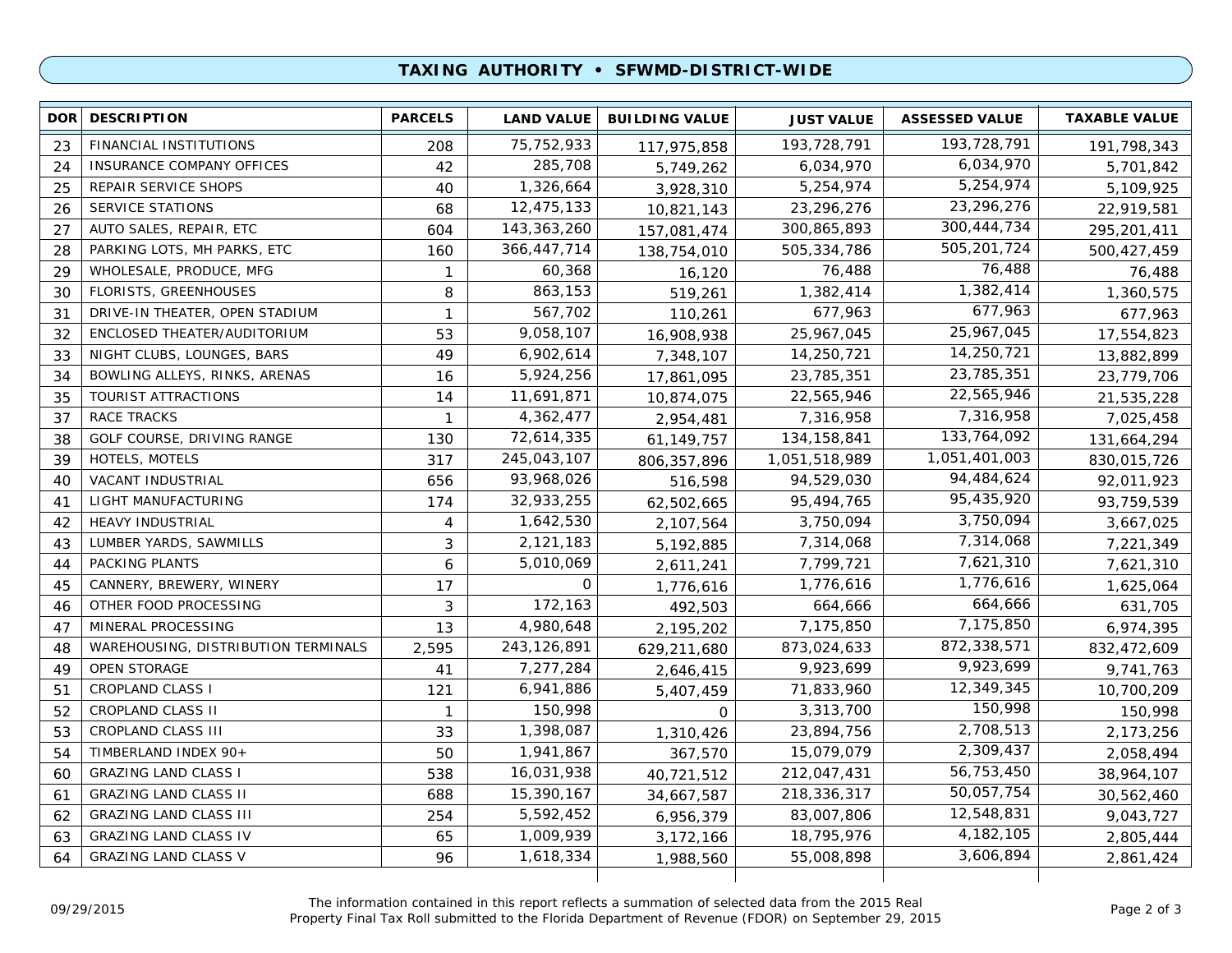## **TAXING AUTHORITY • SFWMD-DISTRICT-WIDE**

| <b>DOR</b> | <b>DESCRIPTION</b>                  | <b>PARCELS</b> | <b>LAND VALUE</b> | <b>BUILDING VALUE</b> | <b>JUST VALUE</b> | <b>ASSESSED VALUE</b> | <b>TAXABLE VALUE</b> |
|------------|-------------------------------------|----------------|-------------------|-----------------------|-------------------|-----------------------|----------------------|
| 23         | FINANCIAL INSTITUTIONS              | 208            | 75, 752, 933      | 117,975,858           | 193,728,791       | 193,728,791           | 191,798,343          |
| 24         | <b>INSURANCE COMPANY OFFICES</b>    | 42             | 285,708           | 5,749,262             | 6,034,970         | 6,034,970             | 5,701,842            |
| 25         | REPAIR SERVICE SHOPS                | 40             | 1,326,664         | 3,928,310             | 5,254,974         | 5,254,974             | 5,109,925            |
| 26         | <b>SERVICE STATIONS</b>             | 68             | 12,475,133        | 10,821,143            | 23,296,276        | 23,296,276            | 22,919,581           |
| 27         | AUTO SALES, REPAIR, ETC             | 604            | 143, 363, 260     | 157,081,474           | 300,865,893       | 300, 444, 734         | 295,201,411          |
| 28         | PARKING LOTS, MH PARKS, ETC         | 160            | 366,447,714       | 138,754,010           | 505,334,786       | 505,201,724           | 500,427,459          |
| 29         | WHOLESALE, PRODUCE, MFG             | $\mathbf{1}$   | 60,368            | 16,120                | 76,488            | 76,488                | 76,488               |
| 30         | <b>FLORISTS, GREENHOUSES</b>        | 8              | 863,153           | 519,261               | 1,382,414         | 1,382,414             | 1,360,575            |
| 31         | DRIVE-IN THEATER, OPEN STADIUM      | $\mathbf{1}$   | 567,702           | 110,261               | 677,963           | 677,963               | 677,963              |
| 32         | ENCLOSED THEATER/AUDITORIUM         | 53             | 9,058,107         | 16,908,938            | 25,967,045        | 25,967,045            | 17,554,823           |
| 33         | NIGHT CLUBS, LOUNGES, BARS          | 49             | 6,902,614         | 7,348,107             | 14,250,721        | 14,250,721            | 13,882,899           |
| 34         | BOWLING ALLEYS, RINKS, ARENAS       | 16             | 5,924,256         | 17,861,095            | 23,785,351        | 23,785,351            | 23,779,706           |
| 35         | <b>TOURIST ATTRACTIONS</b>          | 14             | 11,691,871        | 10,874,075            | 22,565,946        | 22,565,946            | 21,535,228           |
| 37         | <b>RACE TRACKS</b>                  | $\mathbf{1}$   | 4,362,477         | 2,954,481             | 7,316,958         | 7,316,958             | 7,025,458            |
| 38         | GOLF COURSE, DRIVING RANGE          | 130            | 72,614,335        | 61,149,757            | 134, 158, 841     | 133,764,092           | 131,664,294          |
| 39         | HOTELS, MOTELS                      | 317            | 245,043,107       | 806, 357, 896         | 1,051,518,989     | 1,051,401,003         | 830,015,726          |
| 40         | VACANT INDUSTRIAL                   | 656            | 93,968,026        | 516,598               | 94,529,030        | 94,484,624            | 92,011,923           |
| 41         | LIGHT MANUFACTURING                 | 174            | 32,933,255        | 62,502,665            | 95,494,765        | 95,435,920            | 93,759,539           |
| 42         | <b>HEAVY INDUSTRIAL</b>             | 4              | 1,642,530         | 2,107,564             | 3,750,094         | 3,750,094             | 3,667,025            |
| 43         | LUMBER YARDS, SAWMILLS              | 3              | 2,121,183         | 5,192,885             | 7,314,068         | 7,314,068             | 7,221,349            |
| 44         | PACKING PLANTS                      | 6              | 5,010,069         | 2,611,241             | 7,799,721         | 7,621,310             | 7,621,310            |
| 45         | CANNERY, BREWERY, WINERY            | 17             | 0                 | 1,776,616             | 1,776,616         | 1,776,616             | 1,625,064            |
| 46         | OTHER FOOD PROCESSING               | 3              | 172,163           | 492,503               | 664,666           | 664,666               | 631,705              |
| 47         | MINERAL PROCESSING                  | 13             | 4,980,648         | 2,195,202             | 7,175,850         | 7,175,850             | 6,974,395            |
| 48         | WAREHOUSING, DISTRIBUTION TERMINALS | 2,595          | 243,126,891       | 629,211,680           | 873,024,633       | 872,338,571           | 832,472,609          |
| 49         | <b>OPEN STORAGE</b>                 | 41             | 7,277,284         | 2,646,415             | 9,923,699         | 9,923,699             | 9,741,763            |
| 51         | <b>CROPLAND CLASS I</b>             | 121            | 6,941,886         | 5,407,459             | 71,833,960        | 12,349,345            | 10,700,209           |
| 52         | <b>CROPLAND CLASS II</b>            | $\mathbf{1}$   | 150,998           | 0                     | 3,313,700         | 150,998               | 150,998              |
| 53         | CROPLAND CLASS III                  | 33             | 1,398,087         | 1,310,426             | 23,894,756        | 2,708,513             | 2,173,256            |
| 54         | TIMBERLAND INDEX 90+                | 50             | 1,941,867         | 367,570               | 15,079,079        | 2,309,437             | 2,058,494            |
| 60         | <b>GRAZING LAND CLASS I</b>         | 538            | 16,031,938        | 40,721,512            | 212,047,431       | 56,753,450            | 38,964,107           |
| 61         | <b>GRAZING LAND CLASS II</b>        | 688            | 15,390,167        | 34,667,587            | 218,336,317       | 50,057,754            | 30,562,460           |
| 62         | <b>GRAZING LAND CLASS III</b>       | 254            | 5,592,452         | 6,956,379             | 83,007,806        | 12,548,831            | 9,043,727            |
| 63         | <b>GRAZING LAND CLASS IV</b>        | 65             | 1,009,939         | 3,172,166             | 18,795,976        | 4, 182, 105           | 2,805,444            |
| 64         | <b>GRAZING LAND CLASS V</b>         | 96             | 1,618,334         | 1,988,560             | 55,008,898        | 3,606,894             | 2,861,424            |

The information contained in this report reflects a summation of selected data from the 2015 Real Property Final Tax Roll submitted to the Florida Department of Revenue (FDOR) on September 29, 2015 09/29/2015 Page 2 of 3